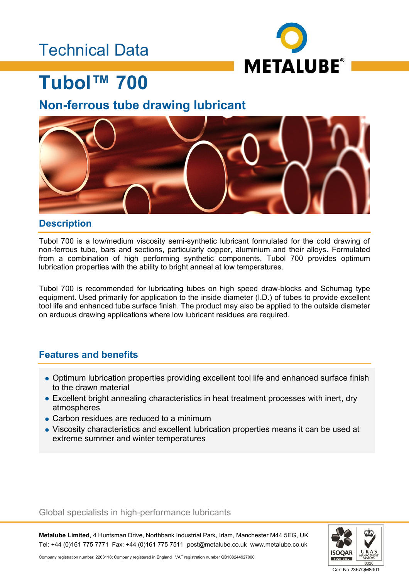## Technical Data



# **Tubol™ 700**

## **Non-ferrous tube drawing lubricant**



### **Description**

Tubol 700 is a low/medium viscosity semi-synthetic lubricant formulated for the cold drawing of non-ferrous tube, bars and sections, particularly copper, aluminium and their alloys. Formulated from a combination of high performing synthetic components, Tubol 700 provides optimum lubrication properties with the ability to bright anneal at low temperatures.

Tubol 700 is recommended for lubricating tubes on high speed draw-blocks and Schumag type equipment. Used primarily for application to the inside diameter (I.D.) of tubes to provide excellent tool life and enhanced tube surface finish. The product may also be applied to the outside diameter on arduous drawing applications where low lubricant residues are required.

### **Features and benefits**

- Optimum lubrication properties providing excellent tool life and enhanced surface finish to the drawn material
- Excellent bright annealing characteristics in heat treatment processes with inert, dry atmospheres
- Carbon residues are reduced to a minimum
- Viscosity characteristics and excellent lubrication properties means it can be used at extreme summer and winter temperatures

### Global specialists in high-performance lubricants

**Metalube Limited**, 4 Huntsman Drive, Northbank Industrial Park, Irlam, Manchester M44 5EG, UK Tel: +44 (0)161 775 7771 Fax: +44 (0)161 775 7511 post@metalube.co.uk www.metalube.co.uk



Company registration number: 2263118; Company registered in England VAT registration number GB108244927000